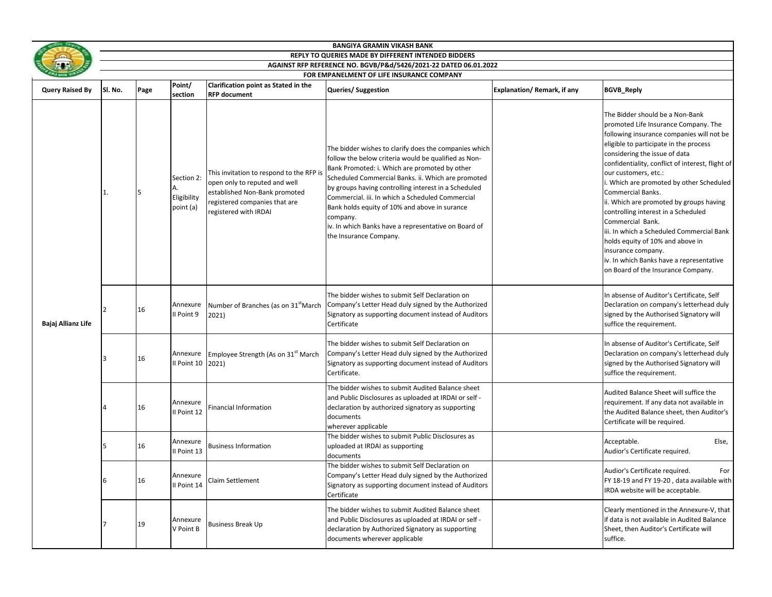|                        | <b>BANGIYA GRAMIN VIKASH BANK</b>                                                                             |      |                                              |                                                                                                                                                                      |                                                                                                                                                                                                                                                                                                                                                                                                                                                                                 |                            |                                                                                                                                                                                                                                                                                                                                                                                                                                                                                                                                                                                                                                             |  |  |  |
|------------------------|---------------------------------------------------------------------------------------------------------------|------|----------------------------------------------|----------------------------------------------------------------------------------------------------------------------------------------------------------------------|---------------------------------------------------------------------------------------------------------------------------------------------------------------------------------------------------------------------------------------------------------------------------------------------------------------------------------------------------------------------------------------------------------------------------------------------------------------------------------|----------------------------|---------------------------------------------------------------------------------------------------------------------------------------------------------------------------------------------------------------------------------------------------------------------------------------------------------------------------------------------------------------------------------------------------------------------------------------------------------------------------------------------------------------------------------------------------------------------------------------------------------------------------------------------|--|--|--|
|                        | REPLY TO QUERIES MADE BY DIFFERENT INTENDED BIDDERS                                                           |      |                                              |                                                                                                                                                                      |                                                                                                                                                                                                                                                                                                                                                                                                                                                                                 |                            |                                                                                                                                                                                                                                                                                                                                                                                                                                                                                                                                                                                                                                             |  |  |  |
|                        | AGAINST RFP REFERENCE NO. BGVB/P&d/5426/2021-22 DATED 06.01.2022<br>FOR EMPANELMENT OF LIFE INSURANCE COMPANY |      |                                              |                                                                                                                                                                      |                                                                                                                                                                                                                                                                                                                                                                                                                                                                                 |                            |                                                                                                                                                                                                                                                                                                                                                                                                                                                                                                                                                                                                                                             |  |  |  |
| <b>Query Raised By</b> | Sl. No.                                                                                                       | Page | Point/<br>section                            | Clarification point as Stated in the<br><b>RFP document</b>                                                                                                          | Queries/ Suggestion                                                                                                                                                                                                                                                                                                                                                                                                                                                             | Explanation/Remark, if any | <b>BGVB Reply</b>                                                                                                                                                                                                                                                                                                                                                                                                                                                                                                                                                                                                                           |  |  |  |
| Bajaj Allianz Life     | 1.                                                                                                            | 5    | Section 2:<br>А.<br>Eligibility<br>point (a) | This invitation to respond to the RFP is<br>open only to reputed and well<br>established Non-Bank promoted<br>registered companies that are<br>registered with IRDAI | The bidder wishes to clarify does the companies which<br>follow the below criteria would be qualified as Non-<br>Bank Promoted: i. Which are promoted by other<br>Scheduled Commercial Banks. ii. Which are promoted<br>by groups having controlling interest in a Scheduled<br>Commercial. iii. In which a Scheduled Commercial<br>Bank holds equity of 10% and above in surance<br>company.<br>iv. In which Banks have a representative on Board of<br>the Insurance Company. |                            | The Bidder should be a Non-Bank<br>promoted Life Insurance Company. The<br>following insurance companies will not be<br>eligible to participate in the process<br>considering the issue of data<br>confidentiality, conflict of interest, flight of<br>our customers, etc.:<br>i. Which are promoted by other Scheduled<br>Commercial Banks.<br>ii. Which are promoted by groups having<br>controlling interest in a Scheduled<br>Commercial Bank.<br>iii. In which a Scheduled Commercial Bank<br>holds equity of 10% and above in<br>insurance company.<br>iv. In which Banks have a representative<br>on Board of the Insurance Company. |  |  |  |
|                        | $\overline{2}$                                                                                                | 16   | Annexure<br>II Point 9                       | Number of Branches (as on 31 <sup>st</sup> March<br>2021)                                                                                                            | The bidder wishes to submit Self Declaration on<br>Company's Letter Head duly signed by the Authorized<br>Signatory as supporting document instead of Auditors<br>Certificate                                                                                                                                                                                                                                                                                                   |                            | In absense of Auditor's Certificate, Self<br>Declaration on company's letterhead duly<br>signed by the Authorised Signatory will<br>suffice the requirement.                                                                                                                                                                                                                                                                                                                                                                                                                                                                                |  |  |  |
|                        | 3                                                                                                             | 16   | Annexure<br>Il Point 10 2021)                | Employee Strength (As on 31 <sup>st</sup> March                                                                                                                      | The bidder wishes to submit Self Declaration on<br>Company's Letter Head duly signed by the Authorized<br>Signatory as supporting document instead of Auditors<br>Certificate.                                                                                                                                                                                                                                                                                                  |                            | In absense of Auditor's Certificate, Self<br>Declaration on company's letterhead duly<br>signed by the Authorised Signatory will<br>suffice the requirement.                                                                                                                                                                                                                                                                                                                                                                                                                                                                                |  |  |  |
|                        | $\overline{a}$                                                                                                | 16   | Annexure<br>I Point 12                       | Financial Information                                                                                                                                                | The bidder wishes to submit Audited Balance sheet<br>and Public Disclosures as uploaded at IRDAI or self -<br>declaration by authorized signatory as supporting<br>documents<br>wherever applicable                                                                                                                                                                                                                                                                             |                            | Audited Balance Sheet will suffice the<br>requirement. If any data not available in<br>the Audited Balance sheet, then Auditor's<br>Certificate will be required.                                                                                                                                                                                                                                                                                                                                                                                                                                                                           |  |  |  |
|                        | 5                                                                                                             | 16   | Annexure<br>Il Point 13                      | <b>Business Information</b>                                                                                                                                          | The bidder wishes to submit Public Disclosures as<br>uploaded at IRDAI as supporting<br>documents                                                                                                                                                                                                                                                                                                                                                                               |                            | Acceptable.<br>Else,<br>Audior's Certificate required.                                                                                                                                                                                                                                                                                                                                                                                                                                                                                                                                                                                      |  |  |  |
|                        | 6                                                                                                             | 16   | Annexure<br>Il Point 14                      | Claim Settlement                                                                                                                                                     | The bidder wishes to submit Self Declaration on<br>Company's Letter Head duly signed by the Authorized<br>Signatory as supporting document instead of Auditors<br>Certificate                                                                                                                                                                                                                                                                                                   |                            | Audior's Certificate required.<br>For<br>FY 18-19 and FY 19-20, data available with<br>IRDA website will be acceptable.                                                                                                                                                                                                                                                                                                                                                                                                                                                                                                                     |  |  |  |
|                        | $\overline{7}$                                                                                                | 19   | Annexure<br>V Point B                        | <b>Business Break Up</b>                                                                                                                                             | The bidder wishes to submit Audited Balance sheet<br>and Public Disclosures as uploaded at IRDAI or self -<br>declaration by Authorized Signatory as supporting<br>documents wherever applicable                                                                                                                                                                                                                                                                                |                            | Clearly mentioned in the Annexure-V, that<br>if data is not available in Audited Balance<br>Sheet, then Auditor's Certificate will<br>suffice.                                                                                                                                                                                                                                                                                                                                                                                                                                                                                              |  |  |  |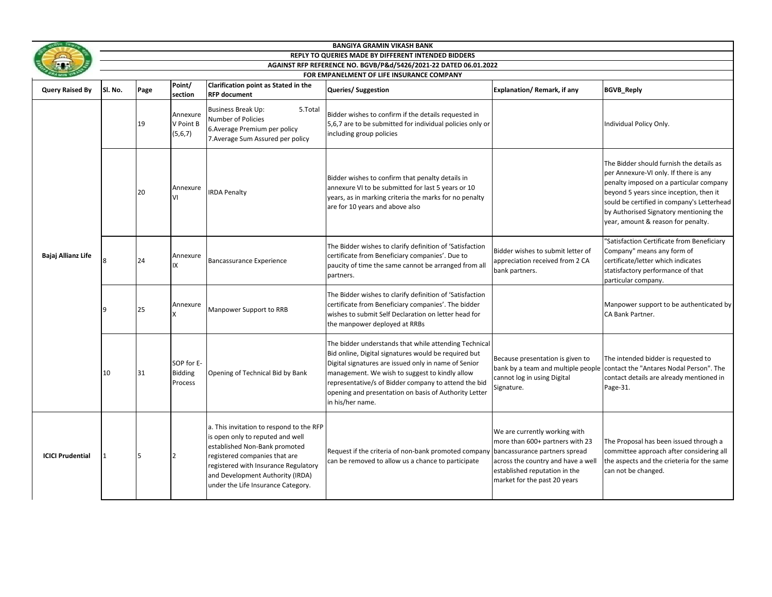|                         | <b>BANGIYA GRAMIN VIKASH BANK</b>                                                                             |      |                                         |                                                                                                                                                                                                                                                                  |                                                                                                                                                                                                                                                                                                                                                              |                                                                                                                                                                         |                                                                                                                                                                                                                                                                                                       |  |  |  |
|-------------------------|---------------------------------------------------------------------------------------------------------------|------|-----------------------------------------|------------------------------------------------------------------------------------------------------------------------------------------------------------------------------------------------------------------------------------------------------------------|--------------------------------------------------------------------------------------------------------------------------------------------------------------------------------------------------------------------------------------------------------------------------------------------------------------------------------------------------------------|-------------------------------------------------------------------------------------------------------------------------------------------------------------------------|-------------------------------------------------------------------------------------------------------------------------------------------------------------------------------------------------------------------------------------------------------------------------------------------------------|--|--|--|
|                         | REPLY TO QUERIES MADE BY DIFFERENT INTENDED BIDDERS                                                           |      |                                         |                                                                                                                                                                                                                                                                  |                                                                                                                                                                                                                                                                                                                                                              |                                                                                                                                                                         |                                                                                                                                                                                                                                                                                                       |  |  |  |
|                         | AGAINST RFP REFERENCE NO. BGVB/P&d/5426/2021-22 DATED 06.01.2022<br>FOR EMPANELMENT OF LIFE INSURANCE COMPANY |      |                                         |                                                                                                                                                                                                                                                                  |                                                                                                                                                                                                                                                                                                                                                              |                                                                                                                                                                         |                                                                                                                                                                                                                                                                                                       |  |  |  |
| <b>Query Raised By</b>  | SI. No.                                                                                                       | Page | Point/<br>section                       | <b>Clarification point as Stated in the</b><br><b>RFP document</b>                                                                                                                                                                                               | <b>Queries/Suggestion</b>                                                                                                                                                                                                                                                                                                                                    | Explanation/ Remark, if any                                                                                                                                             | <b>BGVB_Reply</b>                                                                                                                                                                                                                                                                                     |  |  |  |
| Bajaj Allianz Life      |                                                                                                               | 19   | Annexure<br>V Point B<br>(5,6,7)        | <b>Business Break Up:</b><br>5.Total<br>Number of Policies<br>6. Average Premium per policy<br>7. Average Sum Assured per policy                                                                                                                                 | Bidder wishes to confirm if the details requested in<br>5,6,7 are to be submitted for individual policies only or<br>including group policies                                                                                                                                                                                                                |                                                                                                                                                                         | Individual Policy Only.                                                                                                                                                                                                                                                                               |  |  |  |
|                         |                                                                                                               | 20   | Annexure<br>VI                          | <b>IRDA Penalty</b>                                                                                                                                                                                                                                              | Bidder wishes to confirm that penalty details in<br>annexure VI to be submitted for last 5 years or 10<br>years, as in marking criteria the marks for no penalty<br>are for 10 years and above also                                                                                                                                                          |                                                                                                                                                                         | The Bidder should furnish the details as<br>per Annexure-VI only. If there is any<br>penalty imposed on a particular company<br>beyond 5 years since inception, then it<br>sould be certified in company's Letterhead<br>by Authorised Signatory mentioning the<br>year, amount & reason for penalty. |  |  |  |
|                         | 8                                                                                                             | 24   | Annexure<br>IX                          | Bancassurance Experience                                                                                                                                                                                                                                         | The Bidder wishes to clarify definition of 'Satisfaction<br>certificate from Beneficiary companies'. Due to<br>paucity of time the same cannot be arranged from all<br>partners.                                                                                                                                                                             | Bidder wishes to submit letter of<br>appreciation received from 2 CA<br>bank partners.                                                                                  | "Satisfaction Certificate from Beneficiary<br>Company" means any form of<br>certificate/letter which indicates<br>statisfactory performance of that<br>particular company.                                                                                                                            |  |  |  |
|                         | q                                                                                                             | 25   | Annexure                                | Manpower Support to RRB                                                                                                                                                                                                                                          | The Bidder wishes to clarify definition of 'Satisfaction<br>certificate from Beneficiary companies'. The bidder<br>wishes to submit Self Declaration on letter head for<br>the manpower deployed at RRBs                                                                                                                                                     |                                                                                                                                                                         | Manpower support to be authenticated by<br>CA Bank Partner.                                                                                                                                                                                                                                           |  |  |  |
|                         | 10                                                                                                            | 31   | SOP for E-<br><b>Bidding</b><br>Process | Opening of Technical Bid by Bank                                                                                                                                                                                                                                 | The bidder understands that while attending Technical<br>Bid online, Digital signatures would be required but<br>Digital signatures are issued only in name of Senior<br>management. We wish to suggest to kindly allow<br>representative/s of Bidder company to attend the bid<br>opening and presentation on basis of Authority Letter<br>in his/her name. | Because presentation is given to<br>bank by a team and multiple people<br>cannot log in using Digital<br>Signature.                                                     | The intended bidder is requested to<br>contact the "Antares Nodal Person". The<br>contact details are already mentioned in<br>Page-31.                                                                                                                                                                |  |  |  |
| <b>ICICI Prudential</b> |                                                                                                               |      | 12                                      | a. This invitation to respond to the RFP<br>is open only to reputed and well<br>established Non-Bank promoted<br>registered companies that are<br>registered with Insurance Regulatory<br>and Development Authority (IRDA)<br>under the Life Insurance Category. | Request if the criteria of non-bank promoted company bancassurance partners spread<br>can be removed to allow us a chance to participate                                                                                                                                                                                                                     | We are currently working with<br>more than 600+ partners with 23<br>across the country and have a well<br>established reputation in the<br>market for the past 20 years | The Proposal has been issued through a<br>committee approach after considering all<br>the aspects and the crieteria for the same<br>can not be changed.                                                                                                                                               |  |  |  |